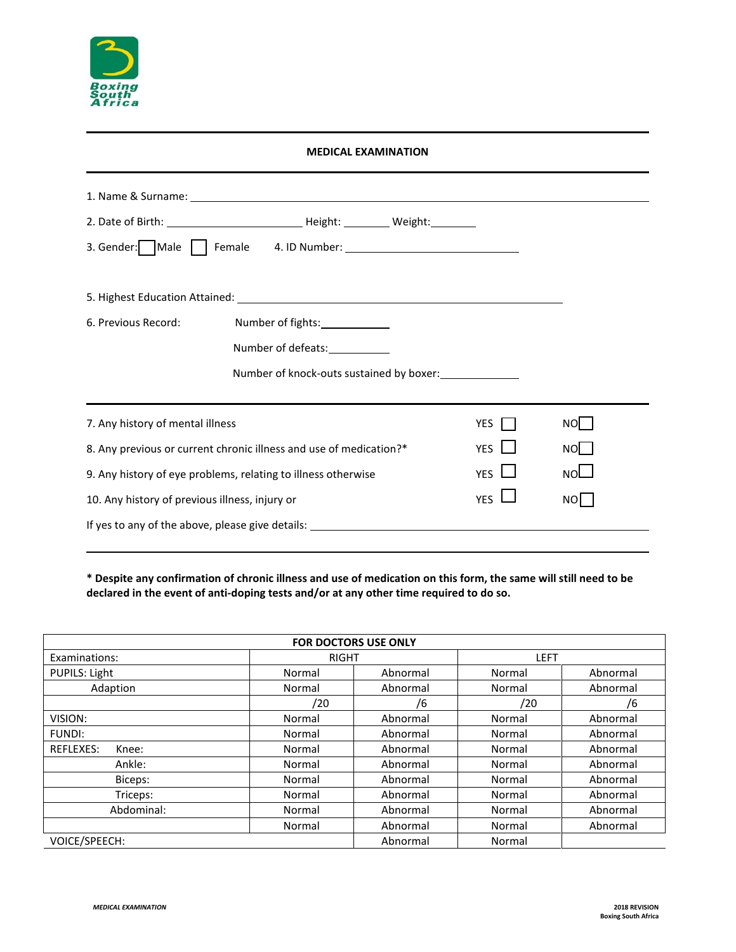

## **MEDICAL EXAMINATION**

| 1. Name & Surname: 1. 2008 and 2008 and 2008 and 2008 and 2008 and 2008 and 2008 and 2008 and 2008 and 2008 and 2008 and 2008 and 2008 and 2008 and 2008 and 2008 and 2008 and 2008 and 2008 and 2008 and 2008 and 2008 and 20 |            |     |
|--------------------------------------------------------------------------------------------------------------------------------------------------------------------------------------------------------------------------------|------------|-----|
|                                                                                                                                                                                                                                |            |     |
|                                                                                                                                                                                                                                |            |     |
|                                                                                                                                                                                                                                |            |     |
| 6. Previous Record:<br>Number of fights: _____________<br>Number of defeats:                                                                                                                                                   |            |     |
| Number of knock-outs sustained by boxer:                                                                                                                                                                                       |            |     |
| 7. Any history of mental illness                                                                                                                                                                                               | <b>YES</b> | NOL |
| 8. Any previous or current chronic illness and use of medication?*                                                                                                                                                             | <b>YFS</b> | NOL |
| 9. Any history of eye problems, relating to illness otherwise                                                                                                                                                                  | YES I      | NO∟ |
| 10. Any history of previous illness, injury or                                                                                                                                                                                 | <b>YES</b> | NOL |
|                                                                                                                                                                                                                                |            |     |

**\* Despite any confirmation of chronic illness and use of medication on this form, the same will still need to be declared in the event of anti-doping tests and/or at any other time required to do so.**

|                           |              | <b>FOR DOCTORS USE ONLY</b> |             |          |
|---------------------------|--------------|-----------------------------|-------------|----------|
| Examinations:             | <b>RIGHT</b> |                             | <b>LEFT</b> |          |
| PUPILS: Light             | Normal       | Abnormal                    | Normal      | Abnormal |
| Adaption                  | Normal       | Abnormal                    | Normal      | Abnormal |
|                           | /20          | /6                          | /20         | /6       |
| VISION:                   | Normal       | Abnormal                    | Normal      | Abnormal |
| <b>FUNDI:</b>             | Normal       | Abnormal                    | Normal      | Abnormal |
| <b>REFLEXES:</b><br>Knee: | Normal       | Abnormal                    | Normal      | Abnormal |
| Ankle:                    | Normal       | Abnormal                    | Normal      | Abnormal |
| Biceps:                   | Normal       | Abnormal                    | Normal      | Abnormal |
| Triceps:                  | Normal       | Abnormal                    | Normal      | Abnormal |
| Abdominal:                | Normal       | Abnormal                    | Normal      | Abnormal |
|                           | Normal       | Abnormal                    | Normal      | Abnormal |
| VOICE/SPEECH:             |              | Abnormal                    | Normal      |          |